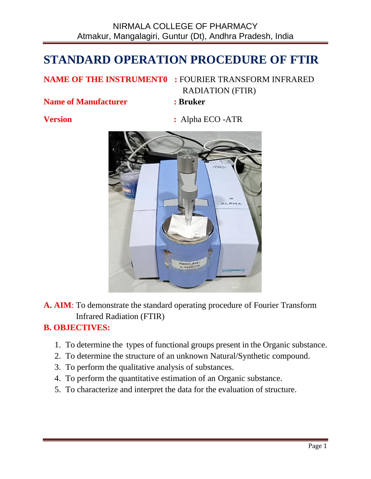# **STANDARD OPERATION PROCEDURE OF FTIR**

## **NAME OF THE INSTRUMENT0 :** FOURIER TRANSFORM INFRARED RADIATION (FTIR)

**Name of Manufacturer : Bruker**

**Version :** Alpha ECO -ATR



**A. AIM**: To demonstrate the standard operating procedure of Fourier Transform Infrared Radiation (FTIR)

## **B. OBJECTIVES:**

- 1. To determine the types of functional groups present in the Organic substance.
- 2. To determine the structure of an unknown Natural/Synthetic compound.
- 3. To perform the qualitative analysis of substances.
- 4. To perform the quantitative estimation of an Organic substance.
- 5. To characterize and interpret the data for the evaluation of structure.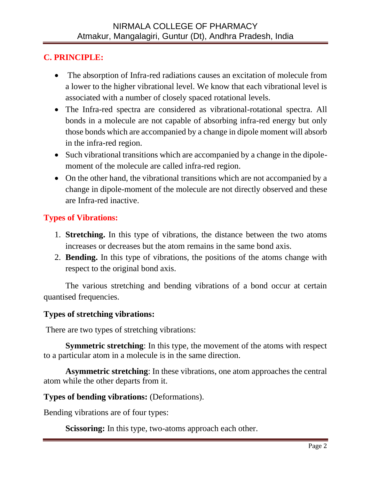# **C. PRINCIPLE:**

- The absorption of Infra-red radiations causes an excitation of molecule from a lower to the higher vibrational level. We know that each vibrational level is associated with a number of closely spaced rotational levels.
- The Infra-red spectra are considered as vibrational-rotational spectra. All bonds in a molecule are not capable of absorbing infra-red energy but only those bonds which are accompanied by a change in dipole moment will absorb in the infra-red region.
- Such vibrational transitions which are accompanied by a change in the dipolemoment of the molecule are called infra-red region.
- On the other hand, the vibrational transitions which are not accompanied by a change in dipole-moment of the molecule are not directly observed and these are Infra-red inactive.

## **Types of Vibrations:**

- 1. **Stretching.** In this type of vibrations, the distance between the two atoms increases or decreases but the atom remains in the same bond axis.
- 2. **Bending.** In this type of vibrations, the positions of the atoms change with respect to the original bond axis.

The various stretching and bending vibrations of a bond occur at certain quantised frequencies.

### **Types of stretching vibrations:**

There are two types of stretching vibrations:

**Symmetric stretching**: In this type, the movement of the atoms with respect to a particular atom in a molecule is in the same direction.

**Asymmetric stretching**: In these vibrations, one atom approaches the central atom while the other departs from it.

### **Types of bending vibrations:** (Deformations).

Bending vibrations are of four types:

**Scissoring:** In this type, two-atoms approach each other.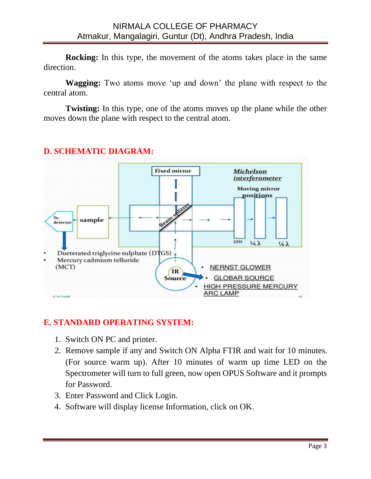**Rocking:** In this type, the movement of the atoms takes place in the same direction.

**Wagging:** Two atoms move 'up and down' the plane with respect to the central atom.

**Twisting:** In this type, one of the atoms moves up the plane while the other moves down the plane with respect to the central atom.



# **D. SCHEMATIC DIAGRAM:**

# **E. STANDARD OPERATING SYSTEM:**

- 1. Switch ON PC and printer.
- 2. Remove sample if any and Switch ON Alpha FTIR and wait for 10 minutes. (For source warm up). After 10 minutes of warm up time LED on the Spectrometer will turn to full green, now open OPUS Software and it prompts for Password.
- 3. Enter Password and Click Login.
- 4. Software will display license Information, click on OK.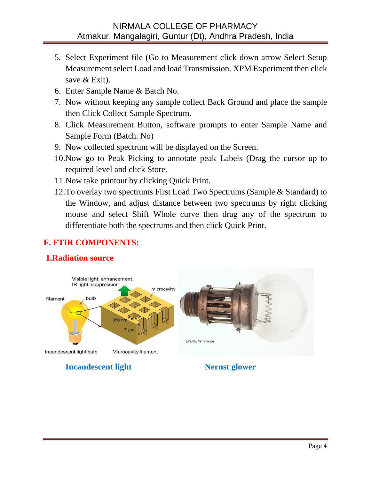### NIRMALA COLLEGE OF PHARMACY Atmakur, Mangalagiri, Guntur (Dt), Andhra Pradesh, India

- 5. Select Experiment file (Go to Measurement click down arrow Select Setup Measurement select Load and load Transmission. XPM Experiment then click save & Exit).
- 6. Enter Sample Name & Batch No.
- 7. Now without keeping any sample collect Back Ground and place the sample then Click Collect Sample Spectrum.
- 8. Click Measurement Button, software prompts to enter Sample Name and Sample Form (Batch. No)
- 9. Now collected spectrum will be displayed on the Screen.
- 10.Now go to Peak Picking to annotate peak Labels (Drag the cursor up to required level and click Store.
- 11.Now take printout by clicking Quick Print.
- 12.To overlay two spectrums First Load Two Spectrums (Sample & Standard) to the Window, and adjust distance between two spectrums by right clicking mouse and select Shift Whole curve then drag any of the spectrum to differentiate both the spectrums and then click Quick Print.

## **F. FTIR COMPONENTS:**

### **1.Radiation source**

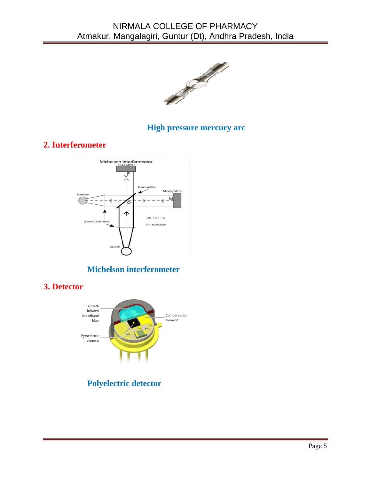

### **High pressure mercury arc**

## **2. Interferometer**



# **Michelson interferometer**

**3. Detector** 



# **Polyelectric detector**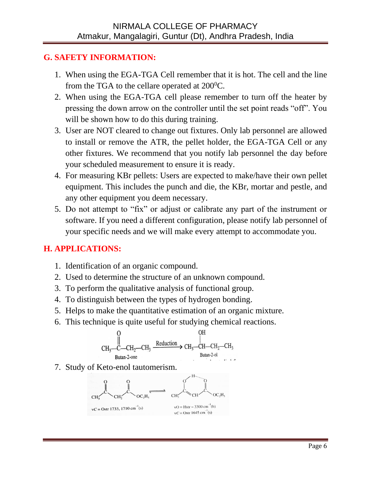## **G. SAFETY INFORMATION:**

- 1. When using the EGA-TGA Cell remember that it is hot. The cell and the line from the TGA to the cellare operated at  $200^{\circ}$ C.
- 2. When using the EGA-TGA cell please remember to turn off the heater by pressing the down arrow on the controller until the set point reads "off". You will be shown how to do this during training.
- 3. User are NOT cleared to change out fixtures. Only lab personnel are allowed to install or remove the ATR, the pellet holder, the EGA-TGA Cell or any other fixtures. We recommend that you notify lab personnel the day before your scheduled measurement to ensure it is ready.
- 4. For measuring KBr pellets: Users are expected to make/have their own pellet equipment. This includes the punch and die, the KBr, mortar and pestle, and any other equipment you deem necessary.
- 5. Do not attempt to "fix" or adjust or calibrate any part of the instrument or software. If you need a different configuration, please notify lab personnel of your specific needs and we will make every attempt to accommodate you.

# **H. APPLICATIONS:**

- 1. Identification of an organic compound.
- 2. Used to determine the structure of an unknown compound.
- 3. To perform the qualitative analysis of functional group.
- 4. To distinguish between the types of hydrogen bonding.
- 5. Helps to make the quantitative estimation of an organic mixture.
- 6. This technique is quite useful for studying chemical reactions.



7. Study of Keto-enol tautomerism.

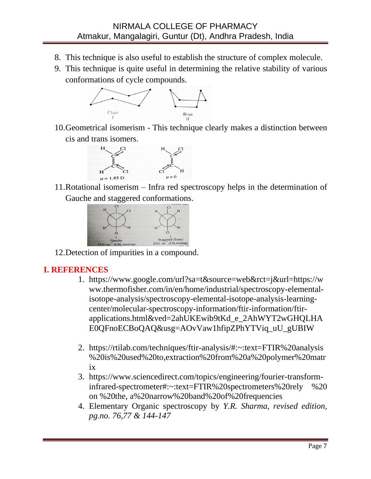- 8. This technique is also useful to establish the structure of complex molecule.
- 9. This technique is quite useful in determining the relative stability of various conformations of cycle compounds.



10.Geometrical isomerism - This technique clearly makes a distinction between cis and trans isomers.



11.Rotational isomerism – Infra red spectroscopy helps in the determination of Gauche and staggered conformations.



12.Detection of impurities in a compound.

### **I. REFERENCES**

- 1. [https://www.google.com/url?sa=t&source=web&rct=j&url=https://w](https://www.google.com/url?sa=t&source=web&rct=j&url=https://www.thermofisher.com/in/en/home/industrial/spectroscopy-elemental-isotope-analysis/spectroscopy-elemental-isotope-analysis-learning-center/molecular-spectroscopy-information/ftir-information/ftir-applications.html&ved=2ahUKEwib9tKd_e_2AhWYT2wGHQLHAE0QFnoECBoQAQ&usg=AOvVaw1hfipZPhYTViq_uU_gUBIW) [ww.thermofisher.com/in/en/home/industrial/spectroscopy-elemental](https://www.google.com/url?sa=t&source=web&rct=j&url=https://www.thermofisher.com/in/en/home/industrial/spectroscopy-elemental-isotope-analysis/spectroscopy-elemental-isotope-analysis-learning-center/molecular-spectroscopy-information/ftir-information/ftir-applications.html&ved=2ahUKEwib9tKd_e_2AhWYT2wGHQLHAE0QFnoECBoQAQ&usg=AOvVaw1hfipZPhYTViq_uU_gUBIW)[isotope-analysis/spectroscopy-elemental-isotope-analysis-learning](https://www.google.com/url?sa=t&source=web&rct=j&url=https://www.thermofisher.com/in/en/home/industrial/spectroscopy-elemental-isotope-analysis/spectroscopy-elemental-isotope-analysis-learning-center/molecular-spectroscopy-information/ftir-information/ftir-applications.html&ved=2ahUKEwib9tKd_e_2AhWYT2wGHQLHAE0QFnoECBoQAQ&usg=AOvVaw1hfipZPhYTViq_uU_gUBIW)[center/molecular-spectroscopy-information/ftir-information/ftir](https://www.google.com/url?sa=t&source=web&rct=j&url=https://www.thermofisher.com/in/en/home/industrial/spectroscopy-elemental-isotope-analysis/spectroscopy-elemental-isotope-analysis-learning-center/molecular-spectroscopy-information/ftir-information/ftir-applications.html&ved=2ahUKEwib9tKd_e_2AhWYT2wGHQLHAE0QFnoECBoQAQ&usg=AOvVaw1hfipZPhYTViq_uU_gUBIW)[applications.html&ved=2ahUKEwib9tKd\\_e\\_2AhWYT2wGHQLHA](https://www.google.com/url?sa=t&source=web&rct=j&url=https://www.thermofisher.com/in/en/home/industrial/spectroscopy-elemental-isotope-analysis/spectroscopy-elemental-isotope-analysis-learning-center/molecular-spectroscopy-information/ftir-information/ftir-applications.html&ved=2ahUKEwib9tKd_e_2AhWYT2wGHQLHAE0QFnoECBoQAQ&usg=AOvVaw1hfipZPhYTViq_uU_gUBIW) [E0QFnoECBoQAQ&usg=AOvVaw1hfipZPhYTViq\\_uU\\_gUBIW](https://www.google.com/url?sa=t&source=web&rct=j&url=https://www.thermofisher.com/in/en/home/industrial/spectroscopy-elemental-isotope-analysis/spectroscopy-elemental-isotope-analysis-learning-center/molecular-spectroscopy-information/ftir-information/ftir-applications.html&ved=2ahUKEwib9tKd_e_2AhWYT2wGHQLHAE0QFnoECBoQAQ&usg=AOvVaw1hfipZPhYTViq_uU_gUBIW)
- 2. [https://rtilab.com/techniques/ftir-analysis/#:~:text=FTIR%20analysis](https://rtilab.com/techniques/ftir-analysis/#:~:text=FTIR%20analysis%20is%20used%20to,extraction%20from%20a%20polymer%20matrix) [%20is%20used%20to,extraction%20from%20a%20polymer%20matr](https://rtilab.com/techniques/ftir-analysis/#:~:text=FTIR%20analysis%20is%20used%20to,extraction%20from%20a%20polymer%20matrix) [ix](https://rtilab.com/techniques/ftir-analysis/#:~:text=FTIR%20analysis%20is%20used%20to,extraction%20from%20a%20polymer%20matrix)
- 3. https://www.sciencedirect.com/topics/engineering/fourier-transforminfrared-spectrometer#:~:text=FTIR%20spectrometers%20rely %20 on %20the, a%20narrow%20band%20of%20frequencies
- 4. Elementary Organic spectroscopy by *Y.R. Sharma, revised edition, pg.no. 76,77 & 144-147*